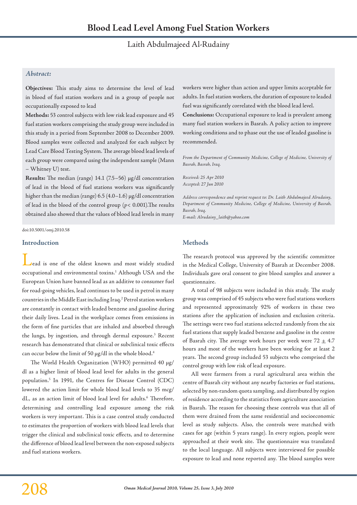# Laith Abdulmajeed Al-Rudainy

# *Abstract:*

**Objectives:** This study aims to determine the level of lead in blood of fuel station workers and in a group of people not occupationally exposed to lead

**Methods:** 53 control subjects with low risk lead exposure and 45 fuel station workers comprising the study group were included in this study in a period from September 2008 to December 2009. Blood samples were collected and analyzed for each subject by Lead Care Blood Testing System. The average blood lead levels of each group were compared using the independent sample (Mann – Whitney U) test.

**Results:** The median (range) 14.1 (7.5–56) µg/dl concentration of lead in the blood of fuel stations workers was significantly higher than the median (range) 6.5 (4.0-1.6) µg/dl concentration of lead in the blood of the control group (*p*< 0.001).The results obtained also showed that the values of blood lead levels in many

doi:10.5001/omj.2010.58

#### **Introduction**

lead is one of the oldest known and most widely studied occupational and environmental toxins.<sup>1</sup> Although USA and the European Union have banned lead as an additive to consumer fuel for road-going vehicles, lead continues to be used in petrol in many countries in the Middle East including Iraq.<sup>2</sup> Petrol station workers are constantly in contact with leaded benzene and gasoline during their daily lives. Lead in the workplace comes from emissions in the form of fine particles that are inhaled and absorbed through the lungs, by ingestion, and through dermal exposure.3 Recent research has demonstrated that clinical or subclinical toxic effects can occur below the limit of 50 µg/dl in the whole blood.<sup>4</sup>

The World Health Organization (WHO) permitted 40 µg/ dl as a higher limit of blood lead level for adults in the general population.5 In 1991, the Centres for Disease Control (CDC) lowered the action limit for whole blood lead levels to 35 mcg/ dL, as an action limit of blood lead level for adults.<sup>6</sup> Therefore, determining and controlling lead exposure among the risk workers is very important. This is a case control study conducted to estimates the proportion of workers with blood lead levels that trigger the clinical and subclinical toxic effects, and to determine the difference of blood lead level between the non-exposed subjects and fuel stations workers.

workers were higher than action and upper limits acceptable for adults. In fuel station workers, the duration of exposure to leaded fuel was significantly correlated with the blood lead level.

**Conclusions:** Occupational exposure to lead is prevalent among many fuel station workers in Basrah. A policy action to improve working conditions and to phase out the use of leaded gasoline is recommended.

From the Department of Community Medicine, College of Medicine, University of *Basrah, Basrah, Iraq.*

*Received: 25 Apr 2010 Accepted: 27 Jun 2010*

*Address correspondence and reprint request to: Dr. Laith Abdulmajeed Alrudainy, Department of Community Medicine, College of Medicine, University of Basrah, Basrah, Iraq. E-mail: Alrudainy\_laith@yahoo.com*

**Methods**

The research protocol was approved by the scientific committee in the Medical College, University of Basrah at December 2008. Individuals gave oral consent to give blood samples and answer a questionnaire.

A total of 98 subjects were included in this study. The study group was comprised of 45 subjects who were fuel stations workers and represented approximately 92% of workers in these two stations after the application of inclusion and exclusion criteria. The settings were two fuel stations selected randomly from the six fuel stations that supply leaded benzene and gasoline in the centre of Basrah city. The average work hours per week were  $72 \pm 4.7$ hours and most of the workers have been working for at least 2 years. The second group included 53 subjects who comprised the control group with low risk of lead exposure.

All were farmers from a rural agricultural area within the centre of Basrah city without any nearby factories or fuel stations, selected by non-random quota sampling, and distributed by region of residence according to the statistics from agriculture association in Basrah. The reason for choosing these controls was that all of them were drained from the same residential and socioeconomic level as study subjects. Also, the controls were matched with cases for age (within 5 years range). In every region, people were approached at their work site. The questionnaire was translated to the local language. All subjects were interviewed for possible exposure to lead and none reported any. The blood samples were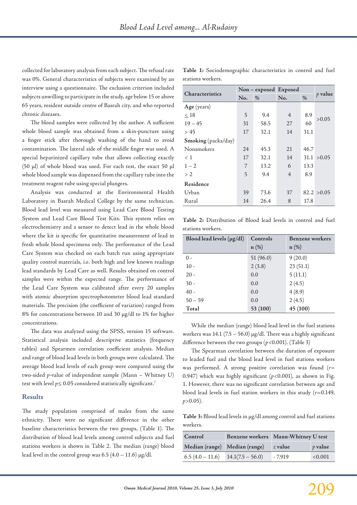collected for laboratory analysis from each subject. The refusal rate was 0%. General characteristics of subjects were examined by an interview using a questionnaire. The exclusion criterion included subjects unwilling to participate in the study, age below 15 or above 65 years, resident outside centre of Basrah city, and who reported chronic diseases.

The blood samples were collected by the author. A sufficient whole blood sample was obtained from a skin-puncture using a finger stick after thorough washing of the hand to avoid contamination. The lateral side of the middle finger was used. A special heparinized capillary tube that allows collecting exactly (50 µl) of whole blood was used. For each test, the exact 50 µl whole blood sample was dispensed from the capillary tube into the treatment reagent tube using special plungers.

Analysis was conducted at the Environmental Health Laboratory in Basrah Medical College by the same technician. Blood lead level was measured using Lead Care Blood Testing System and Lead Care Blood Test Kits. This system relies on electrochemistry and a sensor to detect lead in the whole blood where the kit is specific for quantitative measurement of lead in fresh whole blood specimens only. The performance of the Lead Care System was checked on each batch run using appropriate quality control materials, i.e. both high and low known readings lead standards by Lead Care as well. Results obtained on control samples were within the expected range. The performance of the Lead Care System was calibrated after every 20 samples with atomic absorption spectrophotometer blood lead standard materials. The precision (the coefficient of variation) ranged from 8% for concentrations between 10 and 30 µg/dl to 1% for higher concentrations.

The data was analyzed using the SPSS, version 15 software. Statistical analysis included descriptive statistics (frequency tables) and Spearmen correlation coefficient analysis. Median and range of blood lead levels in both groups were calculated. The average blood lead levels of each group were compared using the two-sided *p*-value of independent sample (Mann – Whitney U) test with level  $p \le 0.05$  considered statistically significant.<sup>7</sup>

#### **Results**

The study population comprised of males from the same ethnicity. There were no significant difference in the other baseline characteristics between the two groups, (Table 1). The distribution of blood lead levels among control subjects and fuel stations workers is shown in Table 2. The median (range) blood lead level in the control group was  $6.5$  (4.0 – 11.6)  $\mu$ g/dl.

| <b>Characteristics</b> | Non – exposed Exposed |      |                |      |               |
|------------------------|-----------------------|------|----------------|------|---------------|
|                        | No.                   | $\%$ | No.            | $\%$ | $\n  p$ value |
| Age (years)            |                       |      |                |      |               |
| < 18                   | 5                     | 9.4  | $\overline{4}$ | 8.9  | > 0.05        |
| $19 - 45$              | 31                    | 58.5 | 27             | 60   |               |
| > 45                   | 17                    | 32.1 | 14             | 31.1 |               |
| Smoking (packs/day)    |                       |      |                |      |               |
| Nonsmokers             | 24                    | 45.3 | 21             | 46.7 |               |
| < 1                    | 17                    | 32.1 | 14             |      | 31.1 > 0.05   |
| $1 - 2$                | 7                     | 13.2 | 6              | 13.3 |               |
| >2                     | 5                     | 9.4  | $\overline{4}$ | 8.9  |               |
| Residence              |                       |      |                |      |               |
| Urban                  | 39                    | 73.6 | 37             |      | 82.2 > 0.05   |
| Rural                  | 14                    | 26.4 | 8              | 17.8 |               |

**Table 1:** Sociodemographic characteristics in control and fuel stations workers.

**Table 2:** Distribution of Blood lead levels in control and fuel stations workers.

| Blood lead levels $(\mu g/dl)$ | Controls | Benzene workers |
|--------------------------------|----------|-----------------|
|                                | $n(\%)$  | $n$ (%)         |
| $\theta$ -                     | 51(96.0) | 9(20.0)         |
| $10 -$                         | 2(3.8)   | 23(51.1)        |
| $20 -$                         | 0.0      | 5(11.1)         |
| $30 -$                         | 0.0      | 2(4.5)          |
| $40 -$                         | 0.0      | 4(8.9)          |
| $50 - 59$                      | 0.0      | 2(4.5)          |
| Total                          | 53 (100) | 45 (100)        |

While the median (range) blood lead level in the fuel stations workers was 14.1 (7.5 – 56.0)  $\mu$ g/dl. There was a highly significant difference between the two groups (*p*<0.001). (Table 3)

The Spearman correlation between the duration of exposure to leaded fuel and the blood lead level in fuel stations workers was performed. A strong positive correlation was found (*r*= 0.947) which was highly significant (*p*<0.001), as shown in Fig. 1. However, there was no significant correlation between age and blood lead levels in fuel station workers in this study (*r*=0.149, *p*>0.05).

**Table 3:** Blood lead levels in µg/dl among control and fuel stations workers.

| Control                       | Benzene workers Mann-Whitney U test |           |           |
|-------------------------------|-------------------------------------|-----------|-----------|
| Median (range) Median (range) |                                     | $z$ value | $p$ value |
| $6.5(4.0 - 11.6)$             | $14.1(7.5 - 56.0)$                  | $-7.919$  | < 0.001   |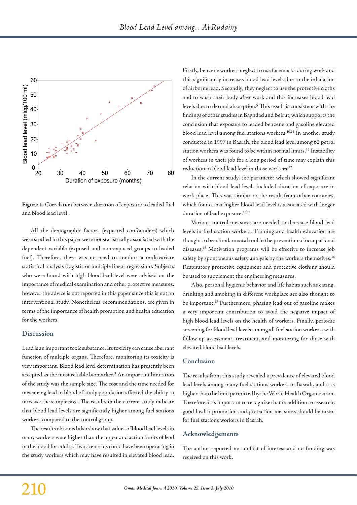

**Figure 1.** Correlation between duration of exposure to leaded fuel and blood lead level.

All the demographic factors (expected confounders) which were studied in this paper were not statistically associated with the dependent variable (exposed and non-exposed groups to leaded fuel). Therefore, there was no need to conduct a multivariate statistical analysis (logistic or multiple linear regression). Subjects who were found with high blood lead level were advised on the importance of medical examination and other protective measures, however the advice is not reported in this paper since this is not an interventional study. Nonetheless, recommendations, are given in terms of the importance of health promotion and health education for the workers.

#### **Discussion**

Lead is an important toxic substance. Its toxicity can cause aberrant function of multiple organs. Therefore, monitoring its toxicity is very important. Blood lead level determination has presently been accepted as the most reliable biomarker.<sup>8</sup> An important limitation of the study was the sample size. The cost and the time needed for measuring lead in blood of study population affected the ability to increase the sample size. The results in the current study indicate that blood lead levels are significantly higher among fuel stations workers compared to the control group.

The results obtained also show that values of blood lead levels in many workers were higher than the upper and action limits of lead in the blood for adults. Two scenarios could have been operating in the study workers which may have resulted in elevated blood lead.

Firstly, benzene workers neglect to use facemasks during work and this significantly increases blood lead levels due to the inhalation of airborne lead. Secondly, they neglect to use the protective cloths and to wash their body after work and this increases blood lead levels due to dermal absorption.<sup>9</sup> This result is consistent with the findings of other studies in Baghdad and Beirut, which supports the conclusion that exposure to leaded benzene and gasoline elevated blood lead level among fuel stations workers.<sup>10,11</sup> In another study conducted in 1997 in Basrah, the blood lead level among 62 petrol station workers was found to be within normal limits.<sup>12</sup> Instability of workers in their job for a long period of time may explain this reduction in blood lead level in those workers.12

In the current study, the parameter which showed significant relation with blood lead levels included duration of exposure in work place. This was similar to the result from other countries, which found that higher blood lead level is associated with longer duration of lead exposure.<sup>13,14</sup>

Various control measures are needed to decrease blood lead levels in fuel station workers. Training and health education are thought to be a fundamental tool in the prevention of occupational diseases.15 Motivation programs will be effective to increase job safety by spontaneous safety analysis by the workers themselves.<sup>16</sup> Respiratory protective equipment and protective clothing should be used to supplement the engineering measures.

Also, personal hygienic behavior and life habits such as eating, drinking and smoking in different workplace are also thought to be important.17 Furthermore, phasing lead out of gasoline makes a very important contribution to avoid the negative impact of high blood lead levels on the health of workers. Finally, periodic screening for blood lead levels among all fuel station workers, with follow-up assessment, treatment, and monitoring for those with elevated blood lead levels.

## **Conclusion**

The results from this study revealed a prevalence of elevated blood lead levels among many fuel stations workers in Basrah, and it is higher than the limit permitted by the World Health Organization. Therefore, it is important to recognize that in addition to research, good health promotion and protection measures should be taken for fuel stations workers in Basrah.

#### **Acknowledgements**

The author reported no conflict of interest and no funding was received on this work.